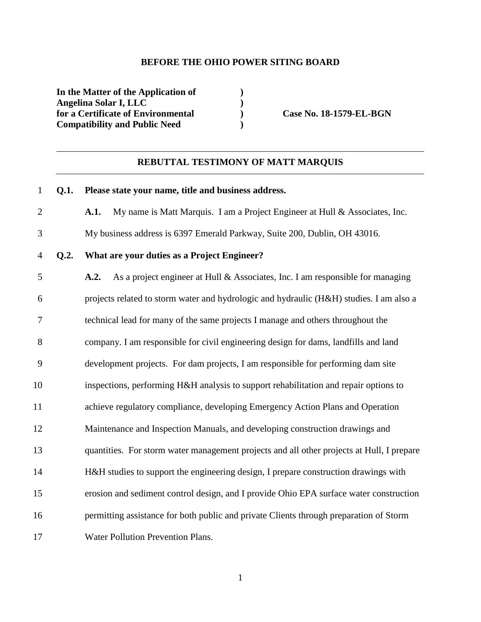#### **BEFORE THE OHIO POWER SITING BOARD**

**In the Matter of the Application of ) Angelina Solar I, LLC )**  for a Certificate of Environmental **Case No. 18-1579-EL-BGN Compatibility and Public Need )** 

#### **REBUTTAL TESTIMONY OF MATT MARQUIS**

# 1 **Q.1. Please state your name, title and business address.**  2 **A.1.** My name is Matt Marquis. I am a Project Engineer at Hull & Associates, Inc. 3 My business address is 6397 Emerald Parkway, Suite 200, Dublin, OH 43016. 4 **Q.2. What are your duties as a Project Engineer?**  5 **A.2.** As a project engineer at Hull & Associates, Inc. I am responsible for managing 6 projects related to storm water and hydrologic and hydraulic (H&H) studies. I am also a 7 technical lead for many of the same projects I manage and others throughout the 8 company. I am responsible for civil engineering design for dams, landfills and land 9 development projects. For dam projects, I am responsible for performing dam site 10 inspections, performing H&H analysis to support rehabilitation and repair options to 11 achieve regulatory compliance, developing Emergency Action Plans and Operation 12 Maintenance and Inspection Manuals, and developing construction drawings and 13 quantities. For storm water management projects and all other projects at Hull, I prepare 14 H&H studies to support the engineering design, I prepare construction drawings with 15 erosion and sediment control design, and I provide Ohio EPA surface water construction 16 permitting assistance for both public and private Clients through preparation of Storm 17 Water Pollution Prevention Plans.

1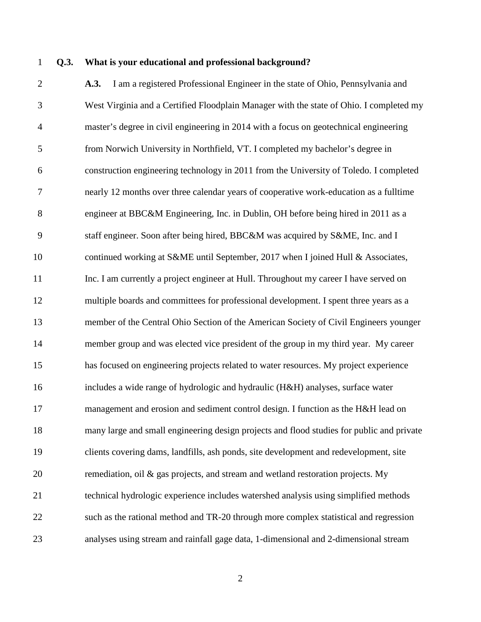### 1 **Q.3. What is your educational and professional background?**

2 **A.3.** I am a registered Professional Engineer in the state of Ohio, Pennsylvania and 3 West Virginia and a Certified Floodplain Manager with the state of Ohio. I completed my 4 master's degree in civil engineering in 2014 with a focus on geotechnical engineering 5 from Norwich University in Northfield, VT. I completed my bachelor's degree in 6 construction engineering technology in 2011 from the University of Toledo. I completed 7 nearly 12 months over three calendar years of cooperative work-education as a fulltime 8 engineer at BBC&M Engineering, Inc. in Dublin, OH before being hired in 2011 as a 9 staff engineer. Soon after being hired, BBC&M was acquired by S&ME, Inc. and I 10 continued working at S&ME until September, 2017 when I joined Hull & Associates, 11 Inc. I am currently a project engineer at Hull. Throughout my career I have served on 12 multiple boards and committees for professional development. I spent three years as a 13 member of the Central Ohio Section of the American Society of Civil Engineers younger 14 member group and was elected vice president of the group in my third year. My career 15 has focused on engineering projects related to water resources. My project experience 16 includes a wide range of hydrologic and hydraulic (H&H) analyses, surface water 17 management and erosion and sediment control design. I function as the H&H lead on 18 many large and small engineering design projects and flood studies for public and private 19 clients covering dams, landfills, ash ponds, site development and redevelopment, site 20 remediation, oil & gas projects, and stream and wetland restoration projects. My 21 technical hydrologic experience includes watershed analysis using simplified methods 22 such as the rational method and TR-20 through more complex statistical and regression 23 analyses using stream and rainfall gage data, 1-dimensional and 2-dimensional stream

2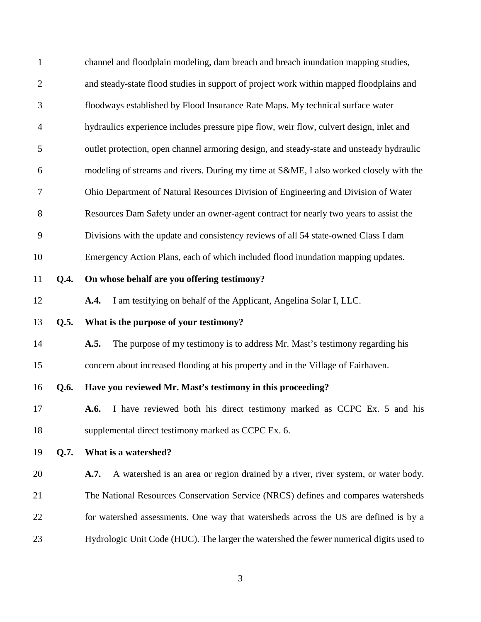| $\mathbf{1}$   |      | channel and floodplain modeling, dam breach and breach inundation mapping studies,        |
|----------------|------|-------------------------------------------------------------------------------------------|
| $\overline{2}$ |      | and steady-state flood studies in support of project work within mapped floodplains and   |
| 3              |      | floodways established by Flood Insurance Rate Maps. My technical surface water            |
| $\overline{4}$ |      | hydraulics experience includes pressure pipe flow, weir flow, culvert design, inlet and   |
| 5              |      | outlet protection, open channel armoring design, and steady-state and unsteady hydraulic  |
| 6              |      | modeling of streams and rivers. During my time at S&ME, I also worked closely with the    |
| 7              |      | Ohio Department of Natural Resources Division of Engineering and Division of Water        |
| $8\,$          |      | Resources Dam Safety under an owner-agent contract for nearly two years to assist the     |
| 9              |      | Divisions with the update and consistency reviews of all 54 state-owned Class I dam       |
| 10             |      | Emergency Action Plans, each of which included flood inundation mapping updates.          |
| 11             | Q.4. | On whose behalf are you offering testimony?                                               |
| 12             |      | I am testifying on behalf of the Applicant, Angelina Solar I, LLC.<br>A.4.                |
| 13             | Q.5. | What is the purpose of your testimony?                                                    |
| 14             |      | The purpose of my testimony is to address Mr. Mast's testimony regarding his<br>A.5.      |
| 15             |      | concern about increased flooding at his property and in the Village of Fairhaven.         |
| 16             | Q.6. | Have you reviewed Mr. Mast's testimony in this proceeding?                                |
| 17             |      | A.6. I have reviewed both his direct testimony marked as CCPC Ex. 5 and his               |
| 18             |      | supplemental direct testimony marked as CCPC Ex. 6.                                       |
| 19             | Q.7. | What is a watershed?                                                                      |
| 20             |      | A watershed is an area or region drained by a river, river system, or water body.<br>A.7. |
| 21             |      | The National Resources Conservation Service (NRCS) defines and compares watersheds        |
| 22             |      | for watershed assessments. One way that watersheds across the US are defined is by a      |
| 23             |      | Hydrologic Unit Code (HUC). The larger the watershed the fewer numerical digits used to   |

3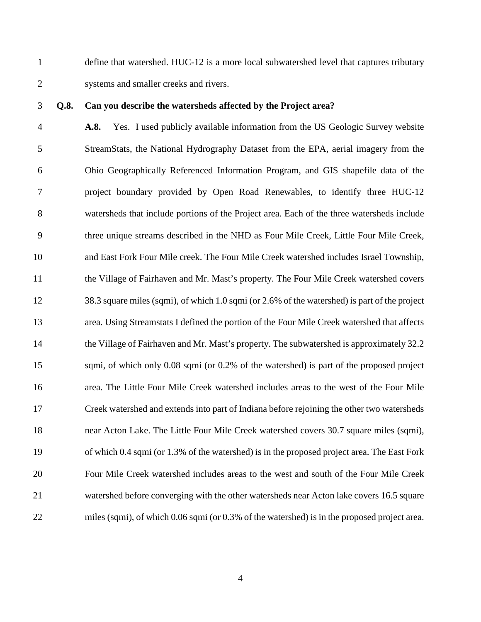1 define that watershed. HUC-12 is a more local subwatershed level that captures tributary 2 systems and smaller creeks and rivers.

## 3 **Q.8. Can you describe the watersheds affected by the Project area?**

4 **A.8.** Yes. I used publicly available information from the US Geologic Survey website 5 StreamStats, the National Hydrography Dataset from the EPA, aerial imagery from the 6 Ohio Geographically Referenced Information Program, and GIS shapefile data of the 7 project boundary provided by Open Road Renewables, to identify three HUC-12 8 watersheds that include portions of the Project area. Each of the three watersheds include 9 three unique streams described in the NHD as Four Mile Creek, Little Four Mile Creek, 10 and East Fork Four Mile creek. The Four Mile Creek watershed includes Israel Township, 11 the Village of Fairhaven and Mr. Mast's property. The Four Mile Creek watershed covers 12 38.3 square miles (sqmi), of which 1.0 sqmi (or 2.6% of the watershed) is part of the project 13 area. Using Streamstats I defined the portion of the Four Mile Creek watershed that affects 14 the Village of Fairhaven and Mr. Mast's property. The subwatershed is approximately 32.2 15 sqmi, of which only 0.08 sqmi (or 0.2% of the watershed) is part of the proposed project 16 area. The Little Four Mile Creek watershed includes areas to the west of the Four Mile 17 Creek watershed and extends into part of Indiana before rejoining the other two watersheds 18 near Acton Lake. The Little Four Mile Creek watershed covers 30.7 square miles (sqmi), 19 of which 0.4 sqmi (or 1.3% of the watershed) is in the proposed project area. The East Fork 20 Four Mile Creek watershed includes areas to the west and south of the Four Mile Creek 21 watershed before converging with the other watersheds near Acton lake covers 16.5 square 22 miles (sqmi), of which 0.06 sqmi (or 0.3% of the watershed) is in the proposed project area.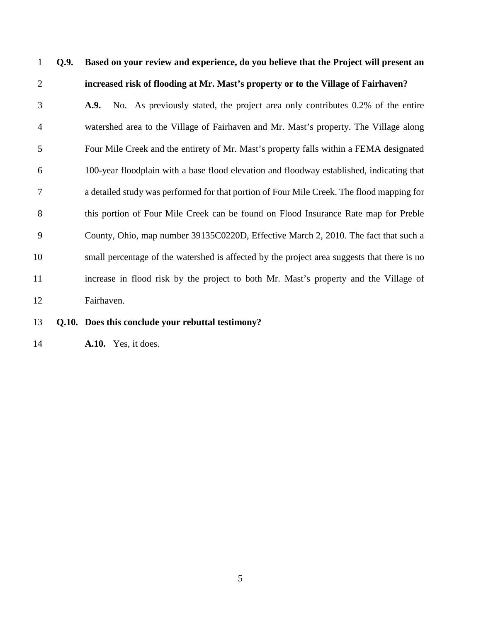# 1 **Q.9. Based on your review and experience, do you believe that the Project will present an**  2 **increased risk of flooding at Mr. Mast's property or to the Village of Fairhaven?**  3 **A.9.** No. As previously stated, the project area only contributes 0.2% of the entire 4 watershed area to the Village of Fairhaven and Mr. Mast's property. The Village along 5 Four Mile Creek and the entirety of Mr. Mast's property falls within a FEMA designated 6 100-year floodplain with a base flood elevation and floodway established, indicating that 7 a detailed study was performed for that portion of Four Mile Creek. The flood mapping for 8 this portion of Four Mile Creek can be found on Flood Insurance Rate map for Preble 9 County, Ohio, map number 39135C0220D, Effective March 2, 2010. The fact that such a 10 small percentage of the watershed is affected by the project area suggests that there is no 11 increase in flood risk by the project to both Mr. Mast's property and the Village of 12 Fairhaven.

### 13 **Q.10. Does this conclude your rebuttal testimony?**

14 **A.10.** Yes, it does.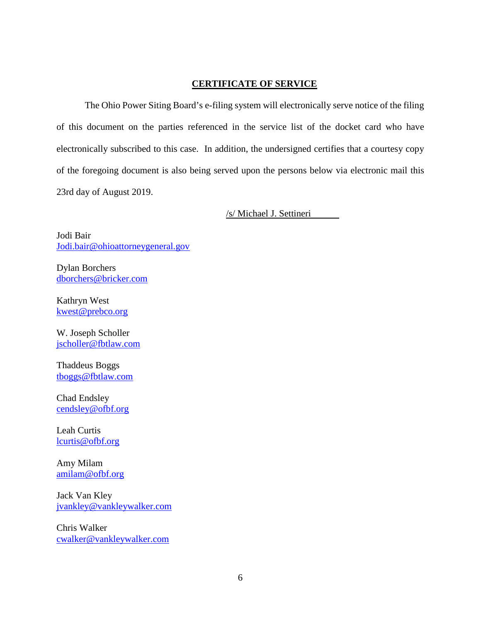## **CERTIFICATE OF SERVICE**

The Ohio Power Siting Board's e-filing system will electronically serve notice of the filing of this document on the parties referenced in the service list of the docket card who have electronically subscribed to this case. In addition, the undersigned certifies that a courtesy copy of the foregoing document is also being served upon the persons below via electronic mail this 23rd day of August 2019.

/s/ Michael J. Settineri

Jodi Bair Jodi.bair@ohioattorneygeneral.gov

Dylan Borchers dborchers@bricker.com

Kathryn West kwest@prebco.org

W. Joseph Scholler jscholler@fbtlaw.com

Thaddeus Boggs tboggs@fbtlaw.com

Chad Endsley cendsley@ofbf.org

Leah Curtis lcurtis@ofbf.org

Amy Milam amilam@ofbf.org

Jack Van Kley jvankley@vankleywalker.com

Chris Walker cwalker@vankleywalker.com